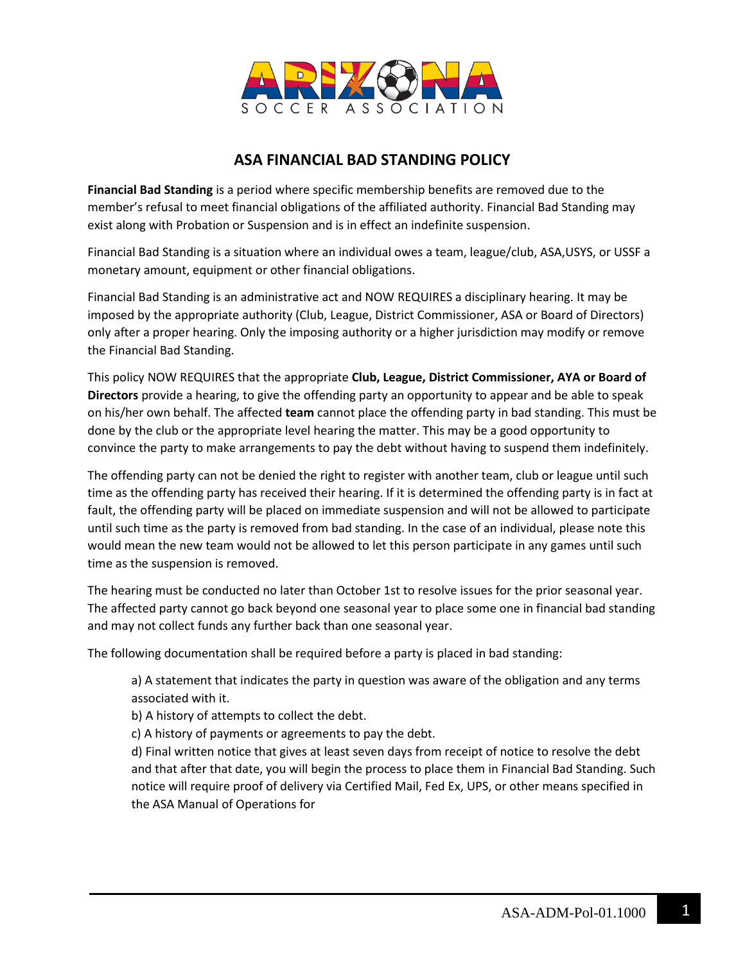

## **ASA FINANCIAL BAD STANDING POLICY**

**Financial Bad Standing** is a period where specific membership benefits are removed due to the member's refusal to meet financial obligations of the affiliated authority. Financial Bad Standing may exist along with Probation or Suspension and is in effect an indefinite suspension.

Financial Bad Standing is a situation where an individual owes a team, league/club, ASA,USYS, or USSF a monetary amount, equipment or other financial obligations.

Financial Bad Standing is an administrative act and NOW REQUIRES a disciplinary hearing. It may be imposed by the appropriate authority (Club, League, District Commissioner, ASA or Board of Directors) only after a proper hearing. Only the imposing authority or a higher jurisdiction may modify or remove the Financial Bad Standing.

This policy NOW REQUIRES that the appropriate **Club, League, District Commissioner, AYA or Board of Directors** provide a hearing, to give the offending party an opportunity to appear and be able to speak on his/her own behalf. The affected **team** cannot place the offending party in bad standing. This must be done by the club or the appropriate level hearing the matter. This may be a good opportunity to convince the party to make arrangements to pay the debt without having to suspend them indefinitely.

The offending party can not be denied the right to register with another team, club or league until such time as the offending party has received their hearing. If it is determined the offending party is in fact at fault, the offending party will be placed on immediate suspension and will not be allowed to participate until such time as the party is removed from bad standing. In the case of an individual, please note this would mean the new team would not be allowed to let this person participate in any games until such time as the suspension is removed.

The hearing must be conducted no later than October 1st to resolve issues for the prior seasonal year. The affected party cannot go back beyond one seasonal year to place some one in financial bad standing and may not collect funds any further back than one seasonal year.

The following documentation shall be required before a party is placed in bad standing:

a) A statement that indicates the party in question was aware of the obligation and any terms associated with it.

b) A history of attempts to collect the debt.

c) A history of payments or agreements to pay the debt.

d) Final written notice that gives at least seven days from receipt of notice to resolve the debt and that after that date, you will begin the process to place them in Financial Bad Standing. Such notice will require proof of delivery via Certified Mail, Fed Ex, UPS, or other means specified in the ASA Manual of Operations for